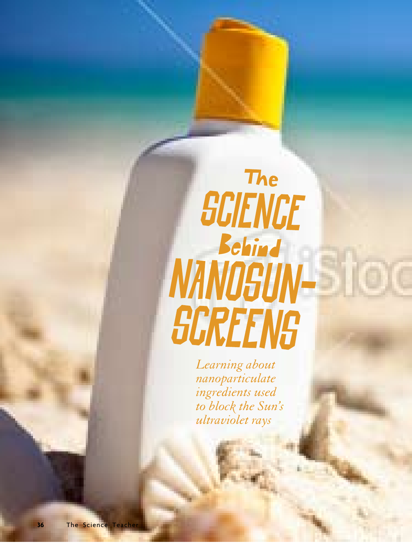# The SCIENCE **NANDSUN-**SCREENS

**OC** 

*Learning about nanoparticulate ingredients used to block the Sun's ultraviolet rays*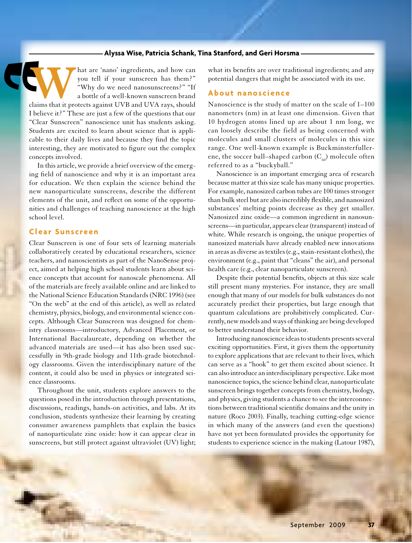#### **Alyssa Wise, Patricia Schank, Tina Stanford, and Geri Horsma**

**WARE AND MANUTE SERVING A THE WARE SERVING WARE SERVING A SOLUTION OF A WHY A DOTE A BOOK AND A DUCK THE AND CLAIMS THAT A BOOK CONTROLLATION AND SURFACT A SUPPORT OF A WEIGHT AND CLAIMS A SHOW A FAMOU CONTROLLATION AND A** you tell if your sunscreen has them?" "Why do we need nanosunscreens?" "If a bottle of a well-known sunscreen brand

I believe it?" These are just a few of the questions that our "Clear Sunscreen" nanoscience unit has students asking. Students are excited to learn about science that is applicable to their daily lives and because they find the topic interesting, they are motivated to figure out the complex concepts involved.

In this article, we provide a brief overview of the emerging field of nanoscience and why it is an important area for education. We then explain the science behind the new nanoparticulate sunscreens, describe the different elements of the unit, and reflect on some of the opportunities and challenges of teaching nanoscience at the high school level.

## **Clear Sunscreen**

Clear Sunscreen is one of four sets of learning materials collaboratively created by educational researchers, science teachers, and nanoscientists as part of the NanoSense project, aimed at helping high school students learn about science concepts that account for nanoscale phenomena. All of the materials are freely available online and are linked to the National Science Education Standards (NRC 1996) (see "On the web" at the end of this article), as well as related chemistry, physics, biology, and environmental science concepts. Although Clear Sunscreen was designed for chemistry classrooms—introductory, Advanced Placement, or International Baccalaureate, depending on whether the advanced materials are used—it has also been used successfully in 9th-grade biology and 11th-grade biotechnology classrooms. Given the interdisciplinary nature of the content, it could also be used in physics or integrated science classrooms.

Throughout the unit, students explore answers to the questions posed in the introduction through presentations, discussions, readings, hands-on activities, and labs. At its conclusion, students synthesize their learning by creating consumer awareness pamphlets that explain the basics of nanoparticulate zinc oxide: how it can appear clear in sunscreens, but still protect against ultraviolet (UV) light;

what its benefits are over traditional ingredients; and any potential dangers that might be associated with its use.

#### **About nanoscience**

Nanoscience is the study of matter on the scale of 1–100 nanometers (nm) in at least one dimension. Given that 10 hydrogen atoms lined up are about 1 nm long, we can loosely describe the field as being concerned with molecules and small clusters of molecules in this size range. One well-known example is Buckminsterfullerene, the soccer ball–shaped carbon ( $\mathrm{C}_{\scriptscriptstyle{60}}$ ) molecule often referred to as a "buckyball."

Nanoscience is an important emerging area of research because matter at this size scale has many unique properties. For example, nanosized carbon tubes are 100 times stronger than bulk steel but are also incredibly flexible, and nanosized substances' melting points decrease as they get smaller. Nanosized zinc oxide—a common ingredient in nanosunscreens—in particular, appears clear (transparent) instead of white. While research is ongoing, the unique properties of nanosized materials have already enabled new innovations in areas as diverse as textiles (e.g., stain-resistant clothes), the environment (e.g., paint that "cleans" the air), and personal health care (e.g., clear nanoparticulate sunscreen).

Despite their potential benefits, objects at this size scale still present many mysteries. For instance, they are small enough that many of our models for bulk substances do not accurately predict their properties, but large enough that quantum calculations are prohibitively complicated. Currently, new models and ways of thinking are being developed to better understand their behavior.

Introducing nanoscience ideas to students presents several exciting opportunities. First, it gives them the opportunity to explore applications that are relevant to their lives, which can serve as a "hook" to get them excited about science. It can also introduce an interdisciplinary perspective.Likemost nanoscience topics, the science behind clear, nanoparticulate sunscreen brings together concepts from chemistry, biology, and physics, giving students a chance to see the interconnections between traditional scientific domains and the unity in nature (Roco 2003). Finally, teaching cutting-edge science in which many of the answers (and even the questions) have not yet been formulated provides the opportunity for students to experience science in the making (Latour 1987),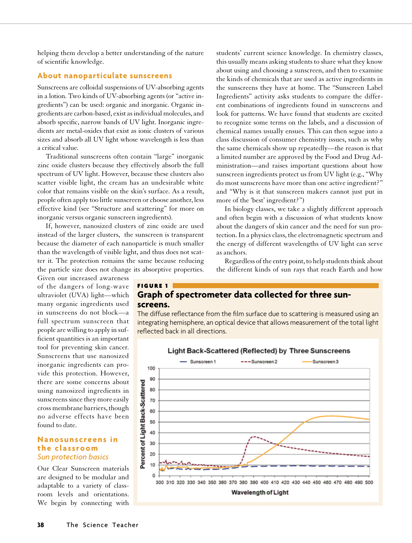helping them develop a better understanding of the nature of scientific knowledge.

#### **About nanoparticulate sunscreens**

Sunscreens are colloidal suspensions of UV-absorbing agents in a lotion. Two kinds of UV-absorbing agents (or "active ingredients") can be used: organic and inorganic. Organic ingredients are carbon-based, exist asindividual molecules, and absorb specific, narrow bands of UV light. Inorganic ingredients are metal-oxides that exist as ionic clusters of various sizes and absorb all UV light whose wavelength is less than a critical value.

Traditional sunscreens often contain "large" inorganic zinc oxide clusters because they effectively absorb the full spectrum of UV light. However, because these clusters also scatter visible light, the cream has an undesirable white color that remains visible on the skin's surface. As a result, people often apply too little sunscreen or choose another, less effective kind (see "Structure and scattering" for more on inorganic versus organic sunscreen ingredients).

If, however, nanosized clusters of zinc oxide are used instead of the larger clusters, the sunscreen is transparent because the diameter of each nanoparticle is much smaller than the wavelength of visible light, and thus does not scatter it. The protection remains the same because reducing the particle size does not change its absorptive properties.

students' current science knowledge. In chemistry classes, this usually means asking students to share what they know about using and choosing a sunscreen, and then to examine the kinds of chemicals that are used as active ingredients in the sunscreens they have at home. The "Sunscreen Label Ingredients" activity asks students to compare the different combinations of ingredients found in sunscreens and look for patterns. We have found that students are excited to recognize some terms on the labels, and a discussion of chemical names usually ensues. This can then segue into a class discussion of consumer chemistry issues, such as why the same chemicals show up repeatedly—the reason is that a limited number are approved by the Food and Drug Administration—and raises important questions about how sunscreen ingredients protect us from UV light (e.g., "Why do most sunscreens have more than one active ingredient?" and "Why is it that sunscreen makers cannot just put in more of the 'best' ingredient?")

In biology classes, we take a slightly different approach and often begin with a discussion of what students know about the dangers of skin cancer and the need for sun protection. In a physics class, the electromagnetic spectrum and the energy of different wavelengths of UV light can serve as anchors.

Regardless of the entry point, to help students think about the different kinds of sun rays that reach Earth and how

Given our increased awareness of the dangers of long-wave ultraviolet (UVA) light—which many organic ingredients used in sunscreens do not block—a full spectrum sunscreen that people are willing to apply in sufficient quantities is an important tool for preventing skin cancer. Sunscreens that use nanosized inorganic ingredients can provide this protection. However, there are some concerns about using nanosized ingredients in sunscreens since they more easily cross membrane barriers, though no adverse effects have been found to date.

#### **Nanosunscreens in the classroom** *Sun protection basics*

Our Clear Sunscreen materials are designed to be modular and adaptable to a variety of classroom levels and orientations. We begin by connecting with

FIGURE 1 **Graph of spectrometer data collected for three sunscreens.** 

The diffuse reflectance from the film surface due to scattering is measured using an integrating hemisphere, an optical device that allows measurement of the total light reflected back in all directions.



#### **Light Back-Scattered (Reflected) by Three Sunscreens**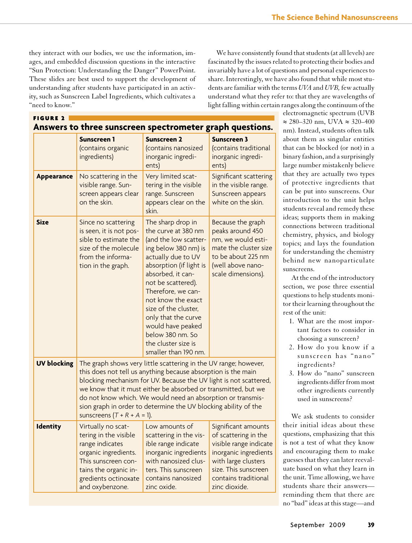they interact with our bodies, we use the information, images, and embedded discussion questions in the interactive "Sun Protection: Understanding the Danger" PowerPoint. These slides are best used to support the development of understanding after students have participated in an activity, such as Sunscreen Label Ingredients, which cultivates a "need to know."

FIGURE 2

We have consistently found that students (at all levels) are fascinated by the issues related to protecting their bodies and invariably have a lot of questions and personal experiences to share. Interestingly, we have also found that while most students are familiar with the terms *UVA* and *UVB*, few actually understand what they refer to: that they are wavelengths of light falling within certain ranges along the continuum of the

|                    | Answers to three sunscreen spectrometer graph questions.                                                                                                                                                                                                                                                                                                                                                                                     |                                                                                                                                                                                                                                                                                                                                                                          |                                                                                                                                                                                        |
|--------------------|----------------------------------------------------------------------------------------------------------------------------------------------------------------------------------------------------------------------------------------------------------------------------------------------------------------------------------------------------------------------------------------------------------------------------------------------|--------------------------------------------------------------------------------------------------------------------------------------------------------------------------------------------------------------------------------------------------------------------------------------------------------------------------------------------------------------------------|----------------------------------------------------------------------------------------------------------------------------------------------------------------------------------------|
|                    | <b>Sunscreen 1</b><br>(contains organic<br>ingredients)                                                                                                                                                                                                                                                                                                                                                                                      | <b>Sunscreen 2</b><br>(contains nanosized<br>inorganic ingredi-<br>ents)                                                                                                                                                                                                                                                                                                 | <b>Sunscreen 3</b><br>(contains traditional<br>inorganic ingredi-<br>ents)                                                                                                             |
| <b>Appearance</b>  | No scattering in the<br>visible range. Sun-<br>screen appears clear<br>on the skin.                                                                                                                                                                                                                                                                                                                                                          | Very limited scat-<br>tering in the visible<br>range. Sunscreen<br>appears clear on the<br>skin.                                                                                                                                                                                                                                                                         | Significant scattering<br>in the visible range.<br>Sunscreen appears<br>white on the skin.                                                                                             |
| <b>Size</b>        | Since no scattering<br>is seen, it is not pos-<br>sible to estimate the<br>size of the molecule<br>from the informa-<br>tion in the graph.                                                                                                                                                                                                                                                                                                   | The sharp drop in<br>the curve at 380 nm<br>(and the low scatter-<br>ing below 380 nm) is<br>actually due to UV<br>absorption (if light is<br>absorbed, it can-<br>not be scattered).<br>Therefore, we can-<br>not know the exact<br>size of the cluster,<br>only that the curve<br>would have peaked<br>below 380 nm. So<br>the cluster size is<br>smaller than 190 nm. | Because the graph<br>peaks around 450<br>nm, we would esti-<br>mate the cluster size<br>to be about 225 nm<br>(well above nano-<br>scale dimensions).                                  |
| <b>UV blocking</b> | The graph shows very little scattering in the UV range; however,<br>this does not tell us anything because absorption is the main<br>blocking mechanism for UV. Because the UV light is not scattered,<br>we know that it must either be absorbed or transmitted, but we<br>do not know which. We would need an absorption or transmis-<br>sion graph in order to determine the UV blocking ability of the<br>sunscreens $(T + R + A = 1)$ . |                                                                                                                                                                                                                                                                                                                                                                          |                                                                                                                                                                                        |
| <b>Identity</b>    | Virtually no scat-<br>tering in the visible<br>range indicates<br>organic ingredients.<br>This sunscreen con-<br>tains the organic in-<br>gredients octinoxate<br>and oxybenzone.                                                                                                                                                                                                                                                            | Low amounts of<br>scattering in the vis-<br>ible range indicate<br>inorganic ingredients<br>with nanosized clus-<br>ters. This sunscreen<br>contains nanosized<br>zinc oxide.                                                                                                                                                                                            | Significant amounts<br>of scattering in the<br>visible range indicate<br>inorganic ingredients<br>with large clusters<br>size. This sunscreen<br>contains traditional<br>zinc dioxide. |

electromagnetic spectrum (UVB  $\approx 280 - 320$  nm, UVA  $\approx 320 - 400$ n). Instead, students often talk out them as singular entities at can be blocked (or not) in a binary fashion, and a surprisingly ge number mistakenly believe at they are actually two types protective ingredients that n be put into sunscreens. Our troduction to the unit helps idents reveal and remedy these eas; supports them in making nnections between traditional emistry, physics, and biology pics; and lays the foundation r understanding the chemistry hind new nanoparticulate nscreens.

At the end of the introductory ction, we pose three essential estions to help students monir their learning throughout the st of the unit:

- 1. What are the most important factors to consider in choosing a sunscreen?
- 2. How do you know if a sunscreen has "nano" ingredients?
- 3. How do "nano" sunscreen ingredients differ from most other ingredients currently used in sunscreens?

We ask students to consider eir initial ideas about these estions, emphasizing that this not a test of what they know d encouraging them to make esses that they can later reevalte based on what they learn in e unit. Time allowing, we have adents share their answers minding them that there are no "bad" ideas at this stage—and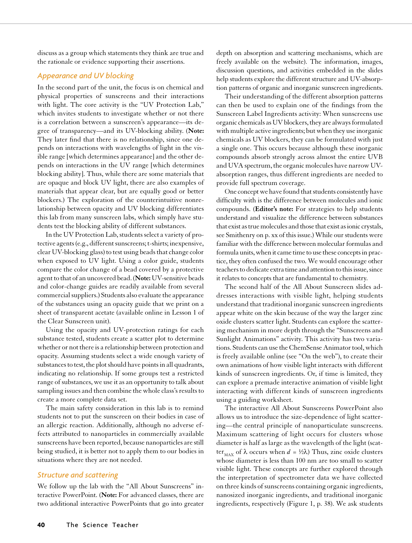discuss as a group which statements they think are true and the rationale or evidence supporting their assertions.

### *Appearance and UV blocking*

In the second part of the unit, the focus is on chemical and physical properties of sunscreens and their interactions with light. The core activity is the "UV Protection Lab," which invites students to investigate whether or not there is a correlation between a sunscreen's appearance—its degree of transparency—and its UV-blocking ability. (**Note:**  They later find that there is no relationship, since one depends on interactions with wavelengths of light in the visible range [which determines appearance] and the other depends on interactions in the UV range [which determines blocking ability]. Thus, while there are some materials that are opaque and block UV light, there are also examples of materials that appear clear, but are equally good or better blockers.) The exploration of the counterintuitive nonrelationship between opacity and UV blocking differentiates this lab from many sunscreen labs, which simply have students test the blocking ability of different substances.

In the UV Protection Lab, students select a variety of protective agents (e.g., different sunscreens; t-shirts; inexpensive, clear UV-blocking glass) to test using beads that change color when exposed to UV light. Using a color guide, students compare the color change of a bead covered by a protective agent to that of an uncovered bead. (**Note:** UV-sensitive beads and color-change guides are readily available from several commercial suppliers.) Students also evaluate the appearance of the substances using an opacity guide that we print on a sheet of transparent acetate (available online in Lesson 1 of the Clear Sunscreen unit).

Using the opacity and UV-protection ratings for each substance tested, students create a scatter plot to determine whether or not there is a relationship between protection and opacity. Assuming students select a wide enough variety of substances to test, the plot should have points in all quadrants, indicating no relationship. If some groups test a restricted range of substances, we use it as an opportunity to talk about sampling issues and then combine the whole class's results to create a more complete data set.

The main safety consideration in this lab is to remind students not to put the sunscreen on their bodies in case of an allergic reaction. Additionally, although no adverse effects attributed to nanoparticles in commercially available sunscreens have been reported, because nanoparticles are still being studied, it is better not to apply them to our bodies in situations where they are not needed.

#### *Structure and scattering*

We follow up the lab with the "All About Sunscreens" interactive PowerPoint. (**Note:** For advanced classes, there are two additional interactive PowerPoints that go into greater

depth on absorption and scattering mechanisms, which are freely available on the website). The information, images, discussion questions, and activities embedded in the slides help students explore the different structure and UV-absorption patterns of organic and inorganic sunscreen ingredients.

Their understanding of the different absorption patterns can then be used to explain one of the findings from the Sunscreen Label Ingredients activity: When sunscreens use organic chemicals as UV blockers, they are always formulated with multiple active ingredients; but when they use inorganic chemicals as UV blockers, they can be formulated with just a single one. This occurs because although these inorganic compounds absorb strongly across almost the entire UVB and UVA spectrum, the organic molecules have narrow UVabsorption ranges, thus different ingredients are needed to provide full spectrum coverage.

One concept we have found that students consistently have difficulty with is the difference between molecules and ionic compounds. (**Editor's note:** For strategies to help students understand and visualize the difference between substances that exist as true molecules and those that exist as ionic crystals, see Smithenry on p. xx of this issue.) While our students were familiar with the difference between molecular formulas and formula units, when it came time to use these concepts in practice, they often confused the two. We would encourage other teachers to dedicate extra time and attention to this issue, since it relates to concepts that are fundamental to chemistry.

The second half of the All About Sunscreen slides addresses interactions with visible light, helping students understand that traditional inorganic sunscreen ingredients appear white on the skin because of the way the larger zinc oxide clusters scatter light. Students can explore the scattering mechanism in more depth through the "Sunscreens and Sunlight Animations" activity. This activity has two variations. Students can use the ChemSense Animator tool, which is freely available online (see "On the web"), to create their own animations of how visible light interacts with different kinds of sunscreen ingredients. Or, if time is limited, they can explore a premade interactive animation of visible light interacting with different kinds of sunscreen ingredients using a guiding worksheet.

The interactive All About Sunscreens PowerPoint also allows us to introduce the size-dependence of light scattering—the central principle of nanoparticulate sunscreens. Maximum scattering of light occurs for clusters whose diameter is half as large as the wavelength of the light (scatter<sub>MAX</sub> of  $\lambda$  occurs when  $d = \frac{1}{\lambda} \lambda$ ) Thus, zinc oxide clusters whose diameter is less than 100 nm are too small to scatter visible light. These concepts are further explored through the interpretation of spectrometer data we have collected on three kinds of sunscreens containing organic ingredients, nanosized inorganic ingredients, and traditional inorganic ingredients, respectively (Figure 1, p. 38). We ask students